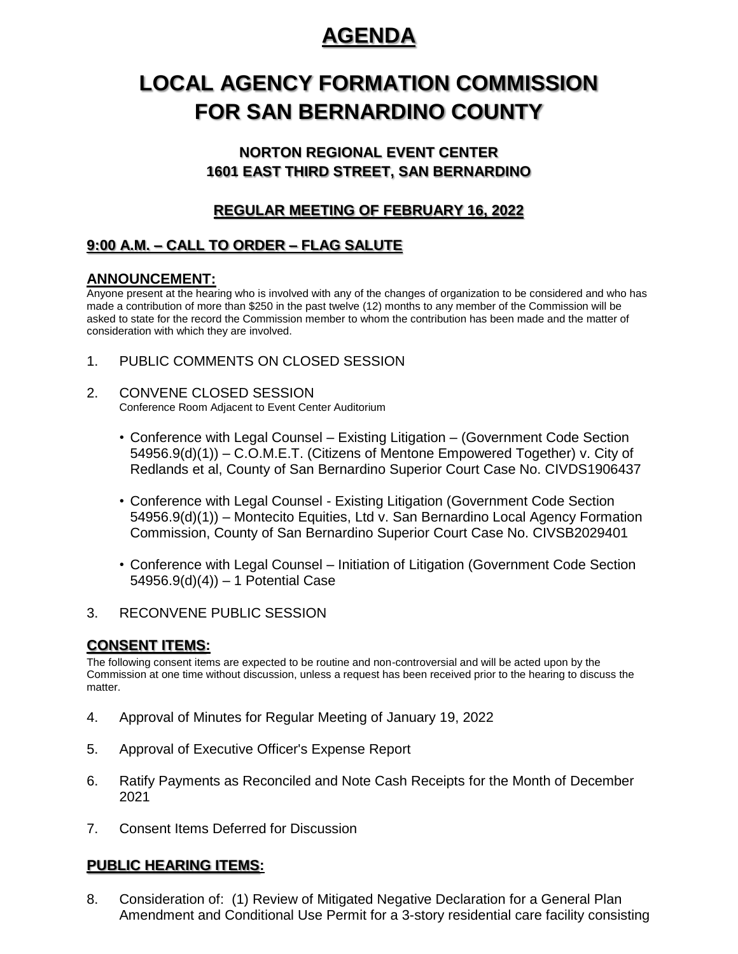## **AGENDA**

# **LOCAL AGENCY FORMATION COMMISSION FOR SAN BERNARDINO COUNTY**

### **NORTON REGIONAL EVENT CENTER 1601 EAST THIRD STREET, SAN BERNARDINO**

## **REGULAR MEETING OF FEBRUARY 16, 2022**

## **9:00 A.M. – CALL TO ORDER – FLAG SALUTE**

#### **ANNOUNCEMENT:**

Anyone present at the hearing who is involved with any of the changes of organization to be considered and who has made a contribution of more than \$250 in the past twelve (12) months to any member of the Commission will be asked to state for the record the Commission member to whom the contribution has been made and the matter of consideration with which they are involved.

- 1. PUBLIC COMMENTS ON CLOSED SESSION
- 2. CONVENE CLOSED SESSION Conference Room Adjacent to Event Center Auditorium
	- Conference with Legal Counsel Existing Litigation (Government Code Section 54956.9(d)(1)) – C.O.M.E.T. (Citizens of Mentone Empowered Together) v. City of Redlands et al, County of San Bernardino Superior Court Case No. CIVDS1906437
	- Conference with Legal Counsel Existing Litigation (Government Code Section 54956.9(d)(1)) – Montecito Equities, Ltd v. San Bernardino Local Agency Formation Commission, County of San Bernardino Superior Court Case No. CIVSB2029401
	- Conference with Legal Counsel Initiation of Litigation (Government Code Section 54956.9(d)(4)) – 1 Potential Case
- 3. RECONVENE PUBLIC SESSION

### **CONSENT ITEMS:**

The following consent items are expected to be routine and non-controversial and will be acted upon by the Commission at one time without discussion, unless a request has been received prior to the hearing to discuss the matter.

- 4. Approval of Minutes for Regular Meeting of January 19, 2022
- 5. Approval of Executive Officer's Expense Report
- 6. Ratify Payments as Reconciled and Note Cash Receipts for the Month of December 2021
- 7. Consent Items Deferred for Discussion

#### **PUBLIC HEARING ITEMS:**

8. Consideration of: (1) Review of Mitigated Negative Declaration for a General Plan Amendment and Conditional Use Permit for a 3-story residential care facility consisting